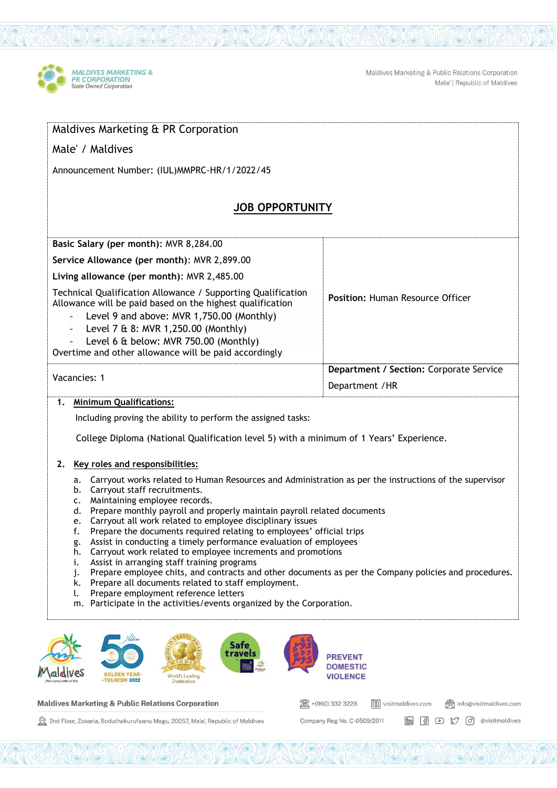

Maldives Marketing & Public Relations Corporation Male' | Republic of Maldives

| Maldives Marketing & PR Corporation                                                                                                                                                                                                                                                                                                                                                                                                                                                                                                                                                                                                                                                                                                                                                                                                                                                                                                                                                                                                                                                                                                 |                                                      |
|-------------------------------------------------------------------------------------------------------------------------------------------------------------------------------------------------------------------------------------------------------------------------------------------------------------------------------------------------------------------------------------------------------------------------------------------------------------------------------------------------------------------------------------------------------------------------------------------------------------------------------------------------------------------------------------------------------------------------------------------------------------------------------------------------------------------------------------------------------------------------------------------------------------------------------------------------------------------------------------------------------------------------------------------------------------------------------------------------------------------------------------|------------------------------------------------------|
| Male' / Maldives                                                                                                                                                                                                                                                                                                                                                                                                                                                                                                                                                                                                                                                                                                                                                                                                                                                                                                                                                                                                                                                                                                                    |                                                      |
| Announcement Number: (IUL)MMPRC-HR/1/2022/45                                                                                                                                                                                                                                                                                                                                                                                                                                                                                                                                                                                                                                                                                                                                                                                                                                                                                                                                                                                                                                                                                        |                                                      |
| <b>JOB OPPORTUNITY</b>                                                                                                                                                                                                                                                                                                                                                                                                                                                                                                                                                                                                                                                                                                                                                                                                                                                                                                                                                                                                                                                                                                              |                                                      |
| Basic Salary (per month): MVR 8,284.00                                                                                                                                                                                                                                                                                                                                                                                                                                                                                                                                                                                                                                                                                                                                                                                                                                                                                                                                                                                                                                                                                              |                                                      |
| Service Allowance (per month): MVR 2,899.00                                                                                                                                                                                                                                                                                                                                                                                                                                                                                                                                                                                                                                                                                                                                                                                                                                                                                                                                                                                                                                                                                         |                                                      |
| Living allowance (per month): MVR 2,485.00                                                                                                                                                                                                                                                                                                                                                                                                                                                                                                                                                                                                                                                                                                                                                                                                                                                                                                                                                                                                                                                                                          |                                                      |
| Technical Qualification Allowance / Supporting Qualification<br>Allowance will be paid based on the highest qualification<br>Level 9 and above: MVR 1,750.00 (Monthly)<br>Level 7 & 8: MVR 1,250.00 (Monthly)<br>$\blacksquare$<br>Level 6 & below: MVR 750.00 (Monthly)<br>Overtime and other allowance will be paid accordingly                                                                                                                                                                                                                                                                                                                                                                                                                                                                                                                                                                                                                                                                                                                                                                                                   | Position: Human Resource Officer                     |
| Vacancies: 1                                                                                                                                                                                                                                                                                                                                                                                                                                                                                                                                                                                                                                                                                                                                                                                                                                                                                                                                                                                                                                                                                                                        | Department / Section: Corporate Service              |
|                                                                                                                                                                                                                                                                                                                                                                                                                                                                                                                                                                                                                                                                                                                                                                                                                                                                                                                                                                                                                                                                                                                                     | Department / HR                                      |
| Including proving the ability to perform the assigned tasks:<br>College Diploma (National Qualification level 5) with a minimum of 1 Years' Experience.<br>2. Key roles and responsibilities:<br>Carryout works related to Human Resources and Administration as per the instructions of the supervisor<br>а.<br>b. Carryout staff recruitments.<br>Maintaining employee records.<br>c.<br>Prepare monthly payroll and properly maintain payroll related documents<br>d.<br>Carryout all work related to employee disciplinary issues<br>e.<br>Prepare the documents required relating to employees' official trips<br>t.<br>Assist in conducting a timely performance evaluation of employees<br>g.<br>Carryout work related to employee increments and promotions<br>h.<br>Assist in arranging staff training programs<br>i.<br>Prepare employee chits, and contracts and other documents as per the Company policies and procedures.<br>j.<br>Prepare all documents related to staff employment.<br>k.<br>Prepare employment reference letters<br>ι.<br>Participate in the activities/events organized by the Corporation.<br>m. |                                                      |
| Safe<br>travels<br>World's Leading<br><b>TOURISM 2022</b><br>Destination                                                                                                                                                                                                                                                                                                                                                                                                                                                                                                                                                                                                                                                                                                                                                                                                                                                                                                                                                                                                                                                            | <b>PREVENT</b><br><b>DOMESTIC</b><br><b>VIOLENCE</b> |

**Maldives Marketing & Public Relations Corporation** 

 $\overline{1}$ 

2nd Floor, Zonaria, Boduthakurufaanu Magu, 20057, Male', Republic of Maldives

图 +(960) 332 3228  $\boxed{1}$  visitmaldives.com @ info@visitmaldives.com Company Reg No. C-0509/2011 in (1 D M d evisitmaldives